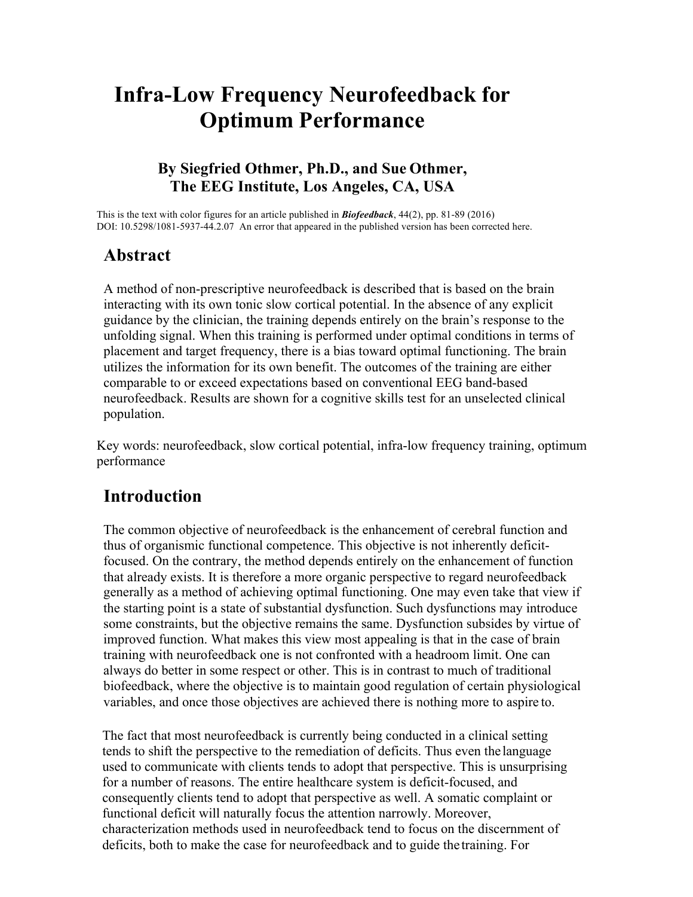# **Infra-Low Frequency Neurofeedback for Optimum Performance**

#### **By Siegfried Othmer, Ph.D., and Sue Othmer, The EEG Institute, Los Angeles, CA, USA**

This is the text with color figures for an article published in *Biofeedback*, 44(2), pp. 81-89 (2016) DOI: 10.5298/1081-5937-44.2.07 An error that appeared in the published version has been corrected here.

#### **Abstract**

A method of non-prescriptive neurofeedback is described that is based on the brain interacting with its own tonic slow cortical potential. In the absence of any explicit guidance by the clinician, the training depends entirely on the brain's response to the unfolding signal. When this training is performed under optimal conditions in terms of placement and target frequency, there is a bias toward optimal functioning. The brain utilizes the information for its own benefit. The outcomes of the training are either comparable to or exceed expectations based on conventional EEG band-based neurofeedback. Results are shown for a cognitive skills test for an unselected clinical population.

Key words: neurofeedback, slow cortical potential, infra-low frequency training, optimum performance

#### **Introduction**

The common objective of neurofeedback is the enhancement of cerebral function and thus of organismic functional competence. This objective is not inherently deficitfocused. On the contrary, the method depends entirely on the enhancement of function that already exists. It is therefore a more organic perspective to regard neurofeedback generally as a method of achieving optimal functioning. One may even take that view if the starting point is a state of substantial dysfunction. Such dysfunctions may introduce some constraints, but the objective remains the same. Dysfunction subsides by virtue of improved function. What makes this view most appealing is that in the case of brain training with neurofeedback one is not confronted with a headroom limit. One can always do better in some respect or other. This is in contrast to much of traditional biofeedback, where the objective is to maintain good regulation of certain physiological variables, and once those objectives are achieved there is nothing more to aspire to.

The fact that most neurofeedback is currently being conducted in a clinical setting tends to shift the perspective to the remediation of deficits. Thus even the language used to communicate with clients tends to adopt that perspective. This is unsurprising for a number of reasons. The entire healthcare system is deficit-focused, and consequently clients tend to adopt that perspective as well. A somatic complaint or functional deficit will naturally focus the attention narrowly. Moreover, characterization methods used in neurofeedback tend to focus on the discernment of deficits, both to make the case for neurofeedback and to guide the training. For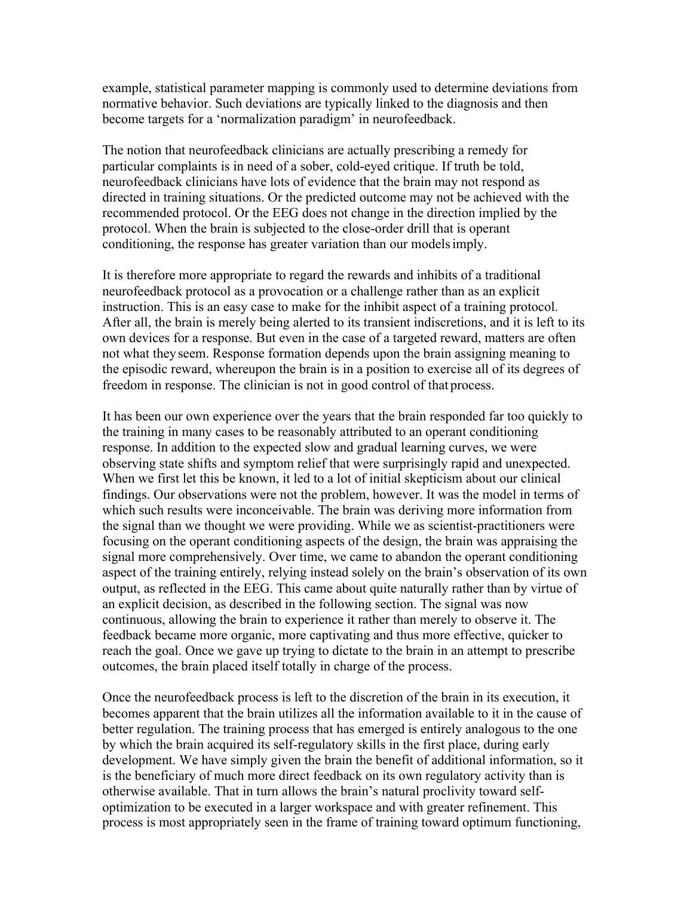example, statistical parameter mapping is commonly used to determine deviations from normative behavior. Such deviations are typically linked to the diagnosis and then become targets for a 'normalization paradigm' in neurofeedback.

The notion that neurofeedback clinicians are actually prescribing a remedy for particular complaints is in need of a sober, cold-eyed critique. If truth be told, neurofeedback clinicians have lots of evidence that the brain may not respond as directed in training situations. Or the predicted outcome may not be achieved with the recommended protocol. Or the EEG does not change in the direction implied by the protocol. When the brain is subjected to the close-order drill that is operant conditioning, the response has greater variation than our modelsimply.

It is therefore more appropriate to regard the rewards and inhibits of a traditional neurofeedback protocol as a provocation or a challenge rather than as an explicit instruction. This is an easy case to make for the inhibit aspect of a training protocol. After all, the brain is merely being alerted to its transient indiscretions, and it is left to its own devices for a response. But even in the case of a targeted reward, matters are often not what theyseem. Response formation depends upon the brain assigning meaning to the episodic reward, whereupon the brain is in a position to exercise all of its degrees of freedom in response. The clinician is not in good control of that process.

It has been our own experience over the years that the brain responded far too quickly to the training in many cases to be reasonably attributed to an operant conditioning response. In addition to the expected slow and gradual learning curves, we were observing state shifts and symptom relief that were surprisingly rapid and unexpected. When we first let this be known, it led to a lot of initial skepticism about our clinical findings. Our observations were not the problem, however. It was the model in terms of which such results were inconceivable. The brain was deriving more information from the signal than we thought we were providing. While we as scientist-practitioners were focusing on the operant conditioning aspects of the design, the brain was appraising the signal more comprehensively. Over time, we came to abandon the operant conditioning aspect of the training entirely, relying instead solely on the brain's observation of its own output, as reflected in the EEG. This came about quite naturally rather than by virtue of an explicit decision, as described in the following section. The signal was now continuous, allowing the brain to experience it rather than merely to observe it. The feedback became more organic, more captivating and thus more effective, quicker to reach the goal. Once we gave up trying to dictate to the brain in an attempt to prescribe outcomes, the brain placed itself totally in charge of the process.

Once the neurofeedback process is left to the discretion of the brain in its execution, it becomes apparent that the brain utilizes all the information available to it in the cause of better regulation. The training process that has emerged is entirely analogous to the one by which the brain acquired its self-regulatory skills in the first place, during early development. We have simply given the brain the benefit of additional information, so it is the beneficiary of much more direct feedback on its own regulatory activity than is otherwise available. That in turn allows the brain's natural proclivity toward selfoptimization to be executed in a larger workspace and with greater refinement. This process is most appropriately seen in the frame of training toward optimum functioning,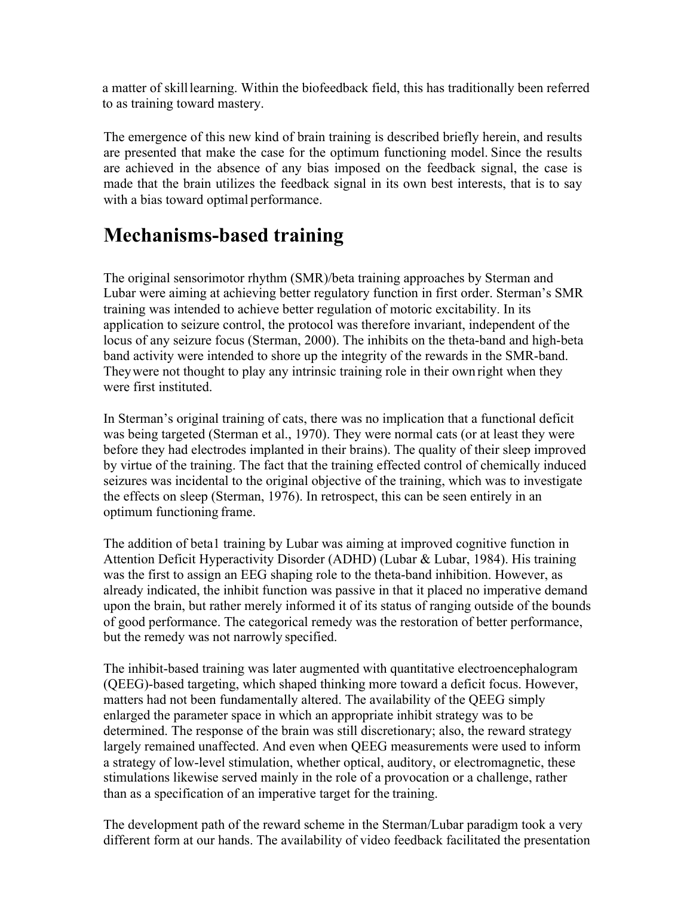a matter of skilllearning. Within the biofeedback field, this has traditionally been referred to as training toward mastery.

The emergence of this new kind of brain training is described briefly herein, and results are presented that make the case for the optimum functioning model. Since the results are achieved in the absence of any bias imposed on the feedback signal, the case is made that the brain utilizes the feedback signal in its own best interests, that is to say with a bias toward optimal performance.

# **Mechanisms-based training**

The original sensorimotor rhythm (SMR)/beta training approaches by Sterman and Lubar were aiming at achieving better regulatory function in first order. Sterman's SMR training was intended to achieve better regulation of motoric excitability. In its application to seizure control, the protocol was therefore invariant, independent of the locus of any seizure focus (Sterman, 2000). The inhibits on the theta-band and high-beta band activity were intended to shore up the integrity of the rewards in the SMR-band. Theywere not thought to play any intrinsic training role in their own right when they were first instituted.

In Sterman's original training of cats, there was no implication that a functional deficit was being targeted (Sterman et al., 1970). They were normal cats (or at least they were before they had electrodes implanted in their brains). The quality of their sleep improved by virtue of the training. The fact that the training effected control of chemically induced seizures was incidental to the original objective of the training, which was to investigate the effects on sleep (Sterman, 1976). In retrospect, this can be seen entirely in an optimum functioning frame.

The addition of beta1 training by Lubar was aiming at improved cognitive function in Attention Deficit Hyperactivity Disorder (ADHD) (Lubar & Lubar, 1984). His training was the first to assign an EEG shaping role to the theta-band inhibition. However, as already indicated, the inhibit function was passive in that it placed no imperative demand upon the brain, but rather merely informed it of its status of ranging outside of the bounds of good performance. The categorical remedy was the restoration of better performance, but the remedy was not narrowly specified.

The inhibit-based training was later augmented with quantitative electroencephalogram (QEEG)-based targeting, which shaped thinking more toward a deficit focus. However, matters had not been fundamentally altered. The availability of the QEEG simply enlarged the parameter space in which an appropriate inhibit strategy was to be determined. The response of the brain was still discretionary; also, the reward strategy largely remained unaffected. And even when QEEG measurements were used to inform a strategy of low-level stimulation, whether optical, auditory, or electromagnetic, these stimulations likewise served mainly in the role of a provocation or a challenge, rather than as a specification of an imperative target for the training.

The development path of the reward scheme in the Sterman/Lubar paradigm took a very different form at our hands. The availability of video feedback facilitated the presentation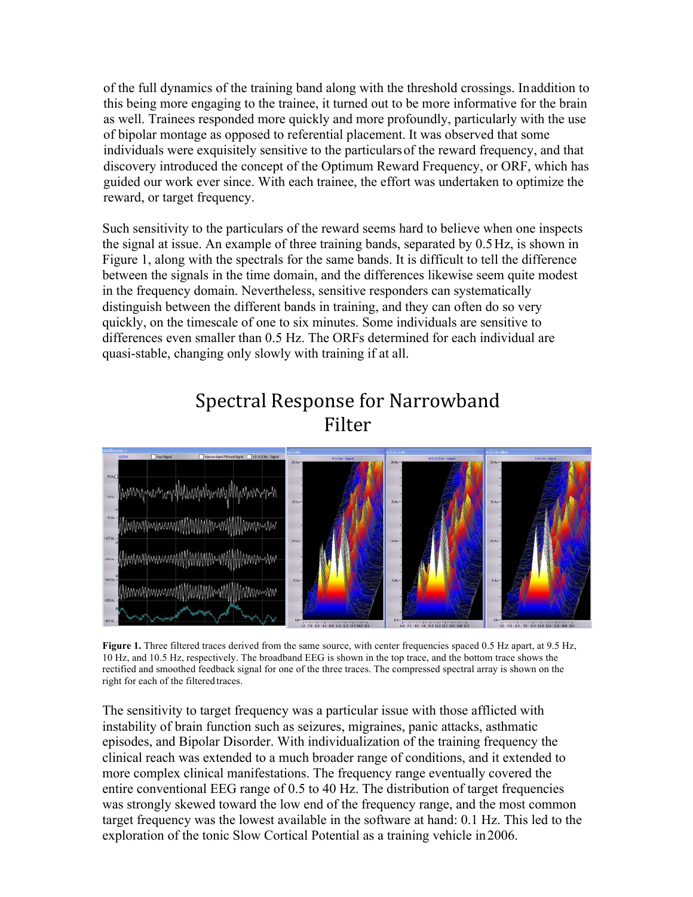of the full dynamics of the training band along with the threshold crossings. Inaddition to this being more engaging to the trainee, it turned out to be more informative for the brain as well. Trainees responded more quickly and more profoundly, particularly with the use of bipolar montage as opposed to referential placement. It was observed that some individuals were exquisitely sensitive to the particularsof the reward frequency, and that discovery introduced the concept of the Optimum Reward Frequency, or ORF, which has guided our work ever since. With each trainee, the effort was undertaken to optimize the reward, or target frequency.

Such sensitivity to the particulars of the reward seems hard to believe when one inspects the signal at issue. An example of three training bands, separated by 0.5Hz, is shown in Figure 1, along with the spectrals for the same bands. It is difficult to tell the difference between the signals in the time domain, and the differences likewise seem quite modest in the frequency domain. Nevertheless, sensitive responders can systematically distinguish between the different bands in training, and they can often do so very quickly, on the timescale of one to six minutes. Some individuals are sensitive to differences even smaller than 0.5 Hz. The ORFs determined for each individual are quasi-stable, changing only slowly with training if at all.

### Spectral Response for Narrowband Filter



**Figure 1.** Three filtered traces derived from the same source, with center frequencies spaced 0.5 Hz apart, at 9.5 Hz, 10 Hz, and 10.5 Hz, respectively. The broadband EEG is shown in the top trace, and the bottom trace shows the rectified and smoothed feedback signal for one of the three traces. The compressed spectral array is shown on the right for each of the filtered traces.

The sensitivity to target frequency was a particular issue with those afflicted with instability of brain function such as seizures, migraines, panic attacks, asthmatic episodes, and Bipolar Disorder. With individualization of the training frequency the clinical reach was extended to a much broader range of conditions, and it extended to more complex clinical manifestations. The frequency range eventually covered the entire conventional EEG range of 0.5 to 40 Hz. The distribution of target frequencies was strongly skewed toward the low end of the frequency range, and the most common target frequency was the lowest available in the software at hand: 0.1 Hz. This led to the exploration of the tonic Slow Cortical Potential as a training vehicle in2006.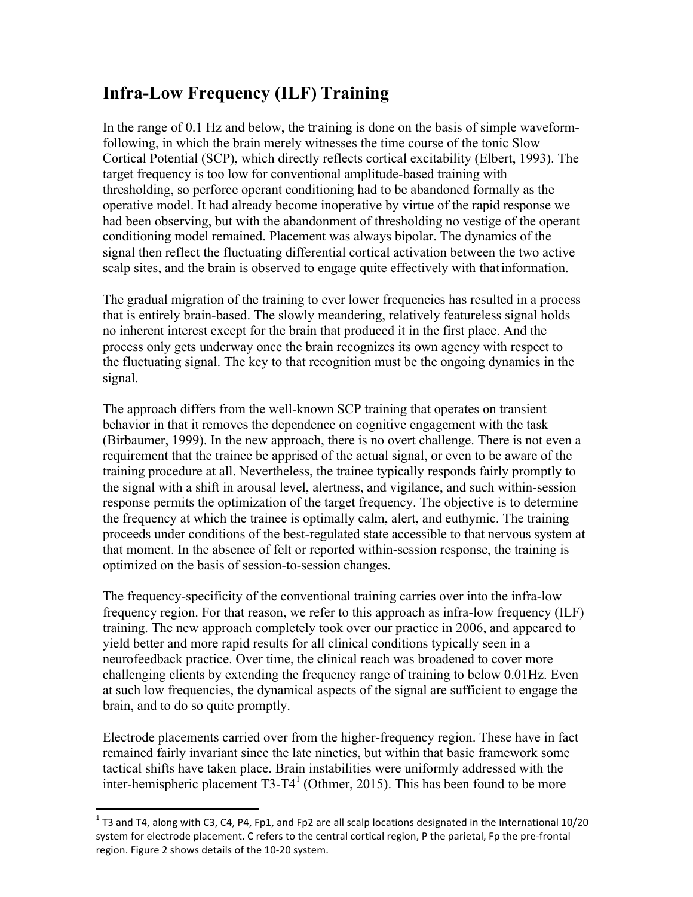### **Infra-Low Frequency (ILF) Training**

In the range of 0.1 Hz and below, the training is done on the basis of simple waveformfollowing, in which the brain merely witnesses the time course of the tonic Slow Cortical Potential (SCP), which directly reflects cortical excitability (Elbert, 1993). The target frequency is too low for conventional amplitude-based training with thresholding, so perforce operant conditioning had to be abandoned formally as the operative model. It had already become inoperative by virtue of the rapid response we had been observing, but with the abandonment of thresholding no vestige of the operant conditioning model remained. Placement was always bipolar. The dynamics of the signal then reflect the fluctuating differential cortical activation between the two active scalp sites, and the brain is observed to engage quite effectively with thatinformation.

The gradual migration of the training to ever lower frequencies has resulted in a process that is entirely brain-based. The slowly meandering, relatively featureless signal holds no inherent interest except for the brain that produced it in the first place. And the process only gets underway once the brain recognizes its own agency with respect to the fluctuating signal. The key to that recognition must be the ongoing dynamics in the signal.

The approach differs from the well-known SCP training that operates on transient behavior in that it removes the dependence on cognitive engagement with the task (Birbaumer, 1999). In the new approach, there is no overt challenge. There is not even a requirement that the trainee be apprised of the actual signal, or even to be aware of the training procedure at all. Nevertheless, the trainee typically responds fairly promptly to the signal with a shift in arousal level, alertness, and vigilance, and such within-session response permits the optimization of the target frequency. The objective is to determine the frequency at which the trainee is optimally calm, alert, and euthymic. The training proceeds under conditions of the best-regulated state accessible to that nervous system at that moment. In the absence of felt or reported within-session response, the training is optimized on the basis of session-to-session changes.

The frequency-specificity of the conventional training carries over into the infra-low frequency region. For that reason, we refer to this approach as infra-low frequency (ILF) training. The new approach completely took over our practice in 2006, and appeared to yield better and more rapid results for all clinical conditions typically seen in a neurofeedback practice. Over time, the clinical reach was broadened to cover more challenging clients by extending the frequency range of training to below 0.01Hz. Even at such low frequencies, the dynamical aspects of the signal are sufficient to engage the brain, and to do so quite promptly.

Electrode placements carried over from the higher-frequency region. These have in fact remained fairly invariant since the late nineties, but within that basic framework some tactical shifts have taken place. Brain instabilities were uniformly addressed with the inter-hemispheric placement  $T3-T4<sup>1</sup>$  (Othmer, 2015). This has been found to be more

<u> 1989 - Johann Stein, markin film yn y breninn y breninn y breninn y breninn y breninn y breninn y breninn y b</u>

 $1$  T3 and T4, along with C3, C4, P4, Fp1, and Fp2 are all scalp locations designated in the International 10/20 system for electrode placement. C refers to the central cortical region, P the parietal, Fp the pre-frontal region. Figure 2 shows details of the 10-20 system.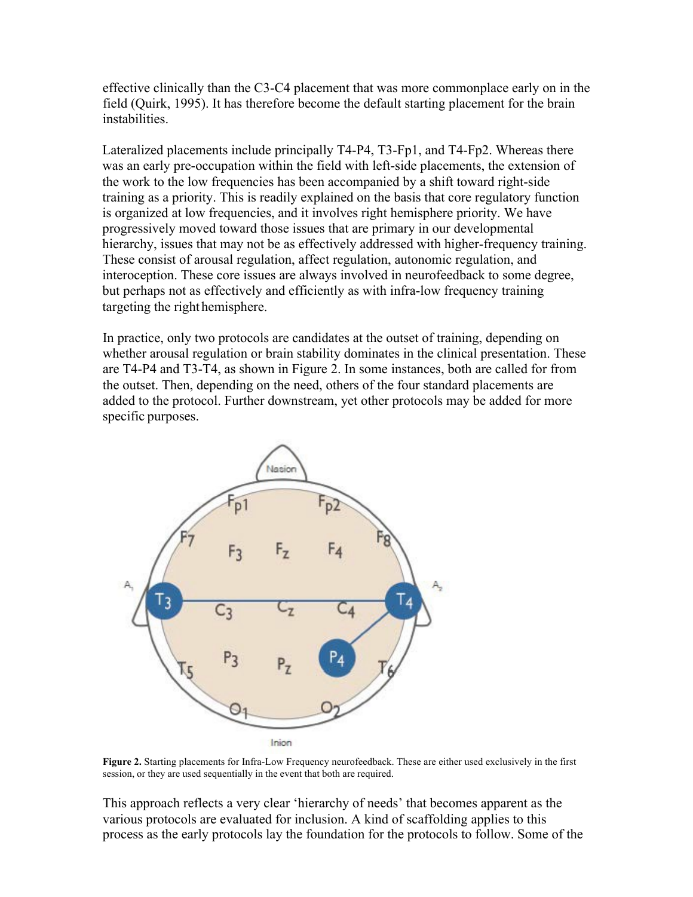effective clinically than the C3-C4 placement that was more commonplace early on in the field (Quirk, 1995). It has therefore become the default starting placement for the brain instabilities.

Lateralized placements include principally T4-P4, T3-Fp1, and T4-Fp2. Whereas there was an early pre-occupation within the field with left-side placements, the extension of the work to the low frequencies has been accompanied by a shift toward right-side training as a priority. This is readily explained on the basis that core regulatory function is organized at low frequencies, and it involves right hemisphere priority. We have progressively moved toward those issues that are primary in our developmental hierarchy, issues that may not be as effectively addressed with higher-frequency training. These consist of arousal regulation, affect regulation, autonomic regulation, and interoception. These core issues are always involved in neurofeedback to some degree, but perhaps not as effectively and efficiently as with infra-low frequency training targeting the righthemisphere.

In practice, only two protocols are candidates at the outset of training, depending on whether arousal regulation or brain stability dominates in the clinical presentation. These are T4-P4 and T3-T4, as shown in Figure 2. In some instances, both are called for from the outset. Then, depending on the need, others of the four standard placements are added to the protocol. Further downstream, yet other protocols may be added for more specific purposes.



**Figure 2.** Starting placements for Infra-Low Frequency neurofeedback. These are either used exclusively in the first session, or they are used sequentially in the event that both are required.

This approach reflects a very clear 'hierarchy of needs' that becomes apparent as the various protocols are evaluated for inclusion. A kind of scaffolding applies to this process as the early protocols lay the foundation for the protocols to follow. Some of the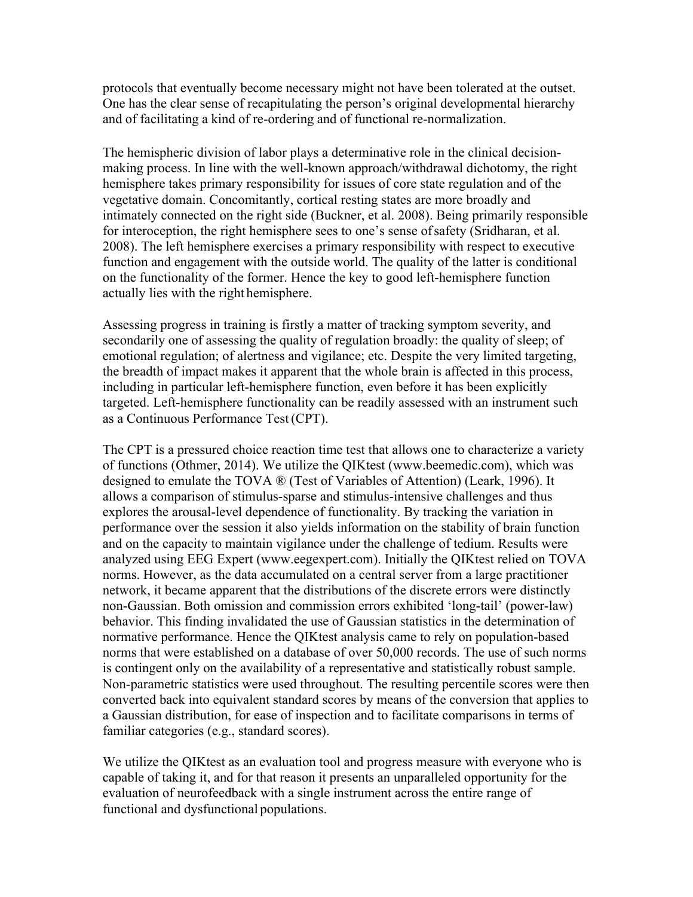protocols that eventually become necessary might not have been tolerated at the outset. One has the clear sense of recapitulating the person's original developmental hierarchy and of facilitating a kind of re-ordering and of functional re-normalization.

The hemispheric division of labor plays a determinative role in the clinical decisionmaking process. In line with the well-known approach/withdrawal dichotomy, the right hemisphere takes primary responsibility for issues of core state regulation and of the vegetative domain. Concomitantly, cortical resting states are more broadly and intimately connected on the right side (Buckner, et al. 2008). Being primarily responsible for interoception, the right hemisphere sees to one's sense ofsafety (Sridharan, et al. 2008). The left hemisphere exercises a primary responsibility with respect to executive function and engagement with the outside world. The quality of the latter is conditional on the functionality of the former. Hence the key to good left-hemisphere function actually lies with the right hemisphere.

Assessing progress in training is firstly a matter of tracking symptom severity, and secondarily one of assessing the quality of regulation broadly: the quality of sleep; of emotional regulation; of alertness and vigilance; etc. Despite the very limited targeting, the breadth of impact makes it apparent that the whole brain is affected in this process, including in particular left-hemisphere function, even before it has been explicitly targeted. Left-hemisphere functionality can be readily assessed with an instrument such as a Continuous Performance Test(CPT).

The CPT is a pressured choice reaction time test that allows one to characterize a variety of functions (Othmer, 2014). We utilize the QIKtest (www.beemedic.com), which was designed to emulate the TOVA ® (Test of Variables of Attention) (Leark, 1996). It allows a comparison of stimulus-sparse and stimulus-intensive challenges and thus explores the arousal-level dependence of functionality. By tracking the variation in performance over the session it also yields information on the stability of brain function and on the capacity to maintain vigilance under the challenge of tedium. Results were analyzed using EEG Expert (www.eegexpert.com). Initially the QIKtest relied on TOVA norms. However, as the data accumulated on a central server from a large practitioner network, it became apparent that the distributions of the discrete errors were distinctly non-Gaussian. Both omission and commission errors exhibited 'long-tail' (power-law) behavior. This finding invalidated the use of Gaussian statistics in the determination of normative performance. Hence the QIKtest analysis came to rely on population-based norms that were established on a database of over 50,000 records. The use of such norms is contingent only on the availability of a representative and statistically robust sample. Non-parametric statistics were used throughout. The resulting percentile scores were then converted back into equivalent standard scores by means of the conversion that applies to a Gaussian distribution, for ease of inspection and to facilitate comparisons in terms of familiar categories (e.g., standard scores).

We utilize the QIKtest as an evaluation tool and progress measure with everyone who is capable of taking it, and for that reason it presents an unparalleled opportunity for the evaluation of neurofeedback with a single instrument across the entire range of functional and dysfunctional populations.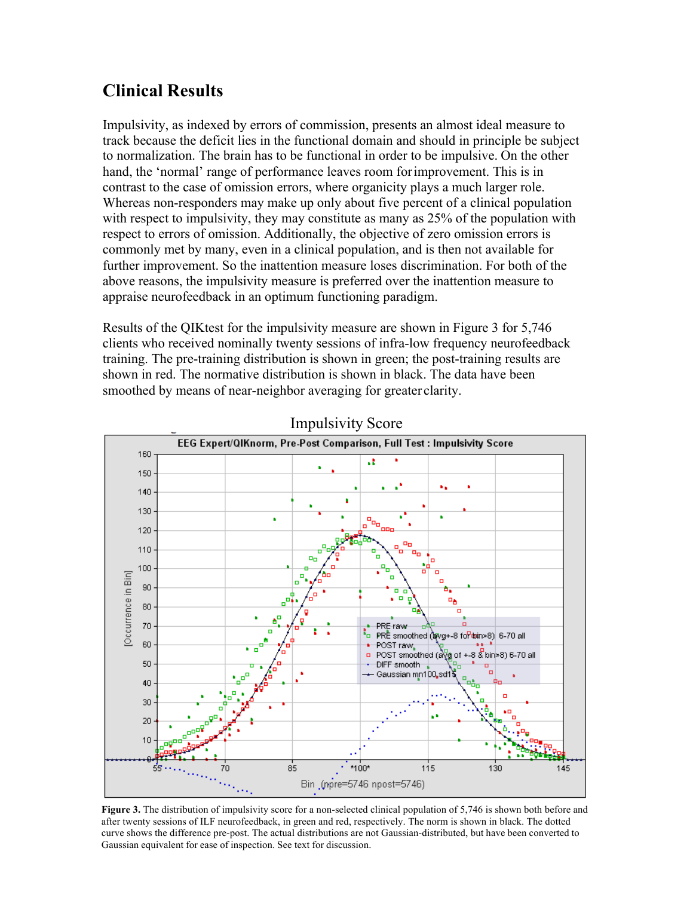### **Clinical Results**

Impulsivity, as indexed by errors of commission, presents an almost ideal measure to track because the deficit lies in the functional domain and should in principle be subject to normalization. The brain has to be functional in order to be impulsive. On the other hand, the 'normal' range of performance leaves room forimprovement. This is in contrast to the case of omission errors, where organicity plays a much larger role. Whereas non-responders may make up only about five percent of a clinical population with respect to impulsivity, they may constitute as many as 25% of the population with respect to errors of omission. Additionally, the objective of zero omission errors is commonly met by many, even in a clinical population, and is then not available for further improvement. So the inattention measure loses discrimination. For both of the above reasons, the impulsivity measure is preferred over the inattention measure to appraise neurofeedback in an optimum functioning paradigm.

Results of the QIKtest for the impulsivity measure are shown in Figure 3 for 5,746 clients who received nominally twenty sessions of infra-low frequency neurofeedback training. The pre-training distribution is shown in green; the post-training results are shown in red. The normative distribution is shown in black. The data have been smoothed by means of near-neighbor averaging for greater clarity.



Impulsivity Score

**Figure 3.** The distribution of impulsivity score for a non-selected clinical population of 5,746 is shown both before and after twenty sessions of ILF neurofeedback, in green and red, respectively. The norm is shown in black. The dotted curve shows the difference pre-post. The actual distributions are not Gaussian-distributed, but have been converted to Gaussian equivalent for ease of inspection. See text for discussion.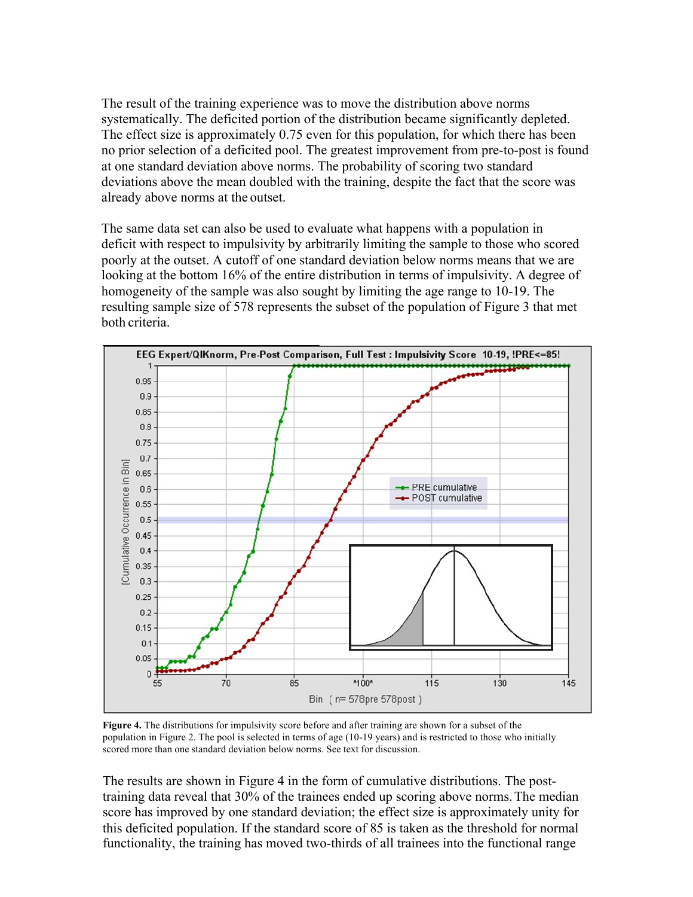The result of the training experience was to move the distribution above norms systematically. The deficited portion of the distribution became significantly depleted. The effect size is approximately 0.75 even for this population, for which there has been no prior selection of a deficited pool. The greatest improvement from pre-to-post is found at one standard deviation above norms. The probability of scoring two standard deviations above the mean doubled with the training, despite the fact that the score was already above norms at the outset.

The same data set can also be used to evaluate what happens with a population in deficit with respect to impulsivity by arbitrarily limiting the sample to those who scored poorly at the outset. A cutoff of one standard deviation below norms means that we are looking at the bottom 16% of the entire distribution in terms of impulsivity. A degree of homogeneity of the sample was also sought by limiting the age range to 10-19. The resulting sample size of 578 represents the subset of the population of Figure 3 that met both criteria.



**Figure 4.** The distributions for impulsivity score before and after training are shown for a subset of the population in Figure 2. The pool is selected in terms of age (10-19 years) and is restricted to those who initially scored more than one standard deviation below norms. See text for discussion.

The results are shown in Figure 4 in the form of cumulative distributions. The posttraining data reveal that 30% of the trainees ended up scoring above norms.The median score has improved by one standard deviation; the effect size is approximately unity for this deficited population. If the standard score of 85 is taken as the threshold for normal functionality, the training has moved two-thirds of all trainees into the functional range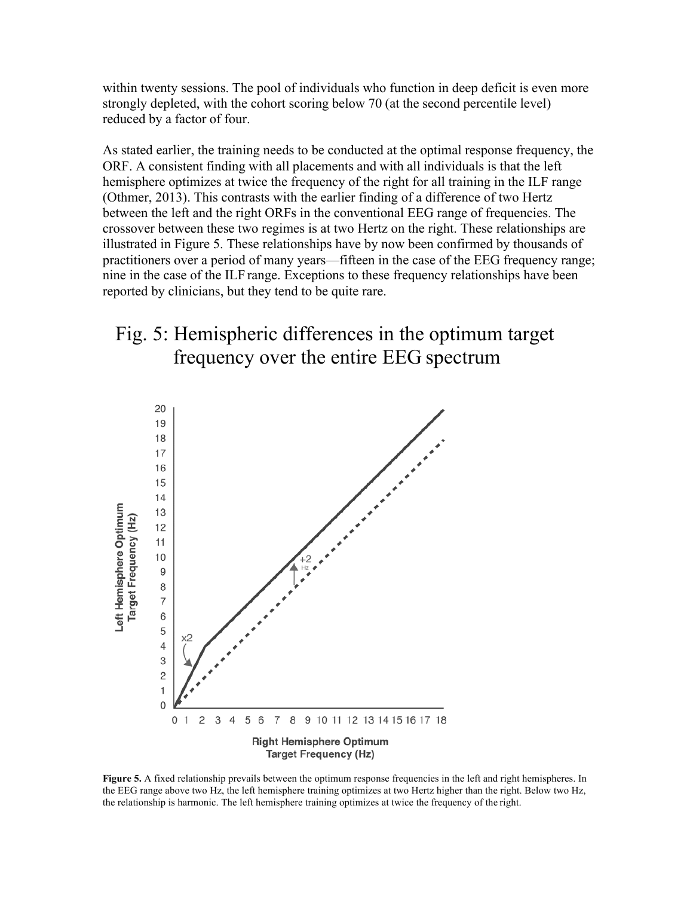within twenty sessions. The pool of individuals who function in deep deficit is even more strongly depleted, with the cohort scoring below 70 (at the second percentile level) reduced by a factor of four.

As stated earlier, the training needs to be conducted at the optimal response frequency, the ORF. A consistent finding with all placements and with all individuals is that the left hemisphere optimizes at twice the frequency of the right for all training in the ILF range (Othmer, 2013). This contrasts with the earlier finding of a difference of two Hertz between the left and the right ORFs in the conventional EEG range of frequencies. The crossover between these two regimes is at two Hertz on the right. These relationships are illustrated in Figure 5. These relationships have by now been confirmed by thousands of practitioners over a period of many years—fifteen in the case of the EEG frequency range; nine in the case of the ILF range. Exceptions to these frequency relationships have been reported by clinicians, but they tend to be quite rare.

## Fig. 5: Hemispheric differences in the optimum target frequency over the entire EEG spectrum



**Figure 5.** A fixed relationship prevails between the optimum response frequencies in the left and right hemispheres. In the EEG range above two Hz, the left hemisphere training optimizes at two Hertz higher than the right. Below two Hz, the relationship is harmonic. The left hemisphere training optimizes at twice the frequency of the right.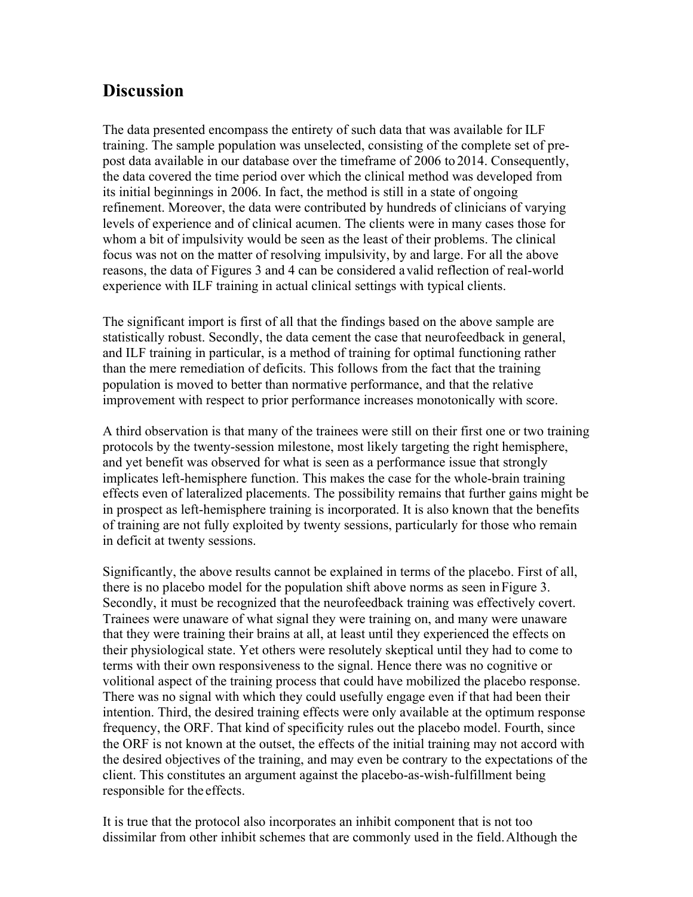#### **Discussion**

The data presented encompass the entirety of such data that was available for ILF training. The sample population was unselected, consisting of the complete set of prepost data available in our database over the timeframe of 2006 to 2014. Consequently, the data covered the time period over which the clinical method was developed from its initial beginnings in 2006. In fact, the method is still in a state of ongoing refinement. Moreover, the data were contributed by hundreds of clinicians of varying levels of experience and of clinical acumen. The clients were in many cases those for whom a bit of impulsivity would be seen as the least of their problems. The clinical focus was not on the matter of resolving impulsivity, by and large. For all the above reasons, the data of Figures 3 and 4 can be considered avalid reflection of real-world experience with ILF training in actual clinical settings with typical clients.

The significant import is first of all that the findings based on the above sample are statistically robust. Secondly, the data cement the case that neurofeedback in general, and ILF training in particular, is a method of training for optimal functioning rather than the mere remediation of deficits. This follows from the fact that the training population is moved to better than normative performance, and that the relative improvement with respect to prior performance increases monotonically with score.

A third observation is that many of the trainees were still on their first one or two training protocols by the twenty-session milestone, most likely targeting the right hemisphere, and yet benefit was observed for what is seen as a performance issue that strongly implicates left-hemisphere function. This makes the case for the whole-brain training effects even of lateralized placements. The possibility remains that further gains might be in prospect as left-hemisphere training is incorporated. It is also known that the benefits of training are not fully exploited by twenty sessions, particularly for those who remain in deficit at twenty sessions.

Significantly, the above results cannot be explained in terms of the placebo. First of all, there is no placebo model for the population shift above norms as seen inFigure 3. Secondly, it must be recognized that the neurofeedback training was effectively covert. Trainees were unaware of what signal they were training on, and many were unaware that they were training their brains at all, at least until they experienced the effects on their physiological state. Yet others were resolutely skeptical until they had to come to terms with their own responsiveness to the signal. Hence there was no cognitive or volitional aspect of the training process that could have mobilized the placebo response. There was no signal with which they could usefully engage even if that had been their intention. Third, the desired training effects were only available at the optimum response frequency, the ORF. That kind of specificity rules out the placebo model. Fourth, since the ORF is not known at the outset, the effects of the initial training may not accord with the desired objectives of the training, and may even be contrary to the expectations of the client. This constitutes an argument against the placebo-as-wish-fulfillment being responsible for the effects.

It is true that the protocol also incorporates an inhibit component that is not too dissimilar from other inhibit schemes that are commonly used in the field.Although the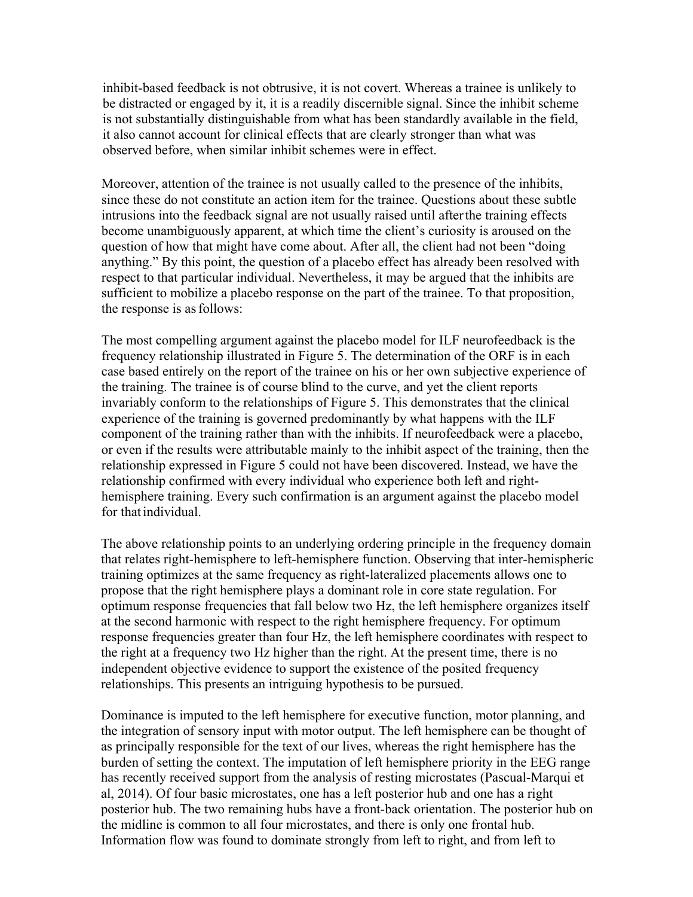inhibit-based feedback is not obtrusive, it is not covert. Whereas a trainee is unlikely to be distracted or engaged by it, it is a readily discernible signal. Since the inhibit scheme is not substantially distinguishable from what has been standardly available in the field, it also cannot account for clinical effects that are clearly stronger than what was observed before, when similar inhibit schemes were in effect.

Moreover, attention of the trainee is not usually called to the presence of the inhibits, since these do not constitute an action item for the trainee. Questions about these subtle intrusions into the feedback signal are not usually raised until afterthe training effects become unambiguously apparent, at which time the client's curiosity is aroused on the question of how that might have come about. After all, the client had not been "doing anything." By this point, the question of a placebo effect has already been resolved with respect to that particular individual. Nevertheless, it may be argued that the inhibits are sufficient to mobilize a placebo response on the part of the trainee. To that proposition, the response is asfollows:

The most compelling argument against the placebo model for ILF neurofeedback is the frequency relationship illustrated in Figure 5. The determination of the ORF is in each case based entirely on the report of the trainee on his or her own subjective experience of the training. The trainee is of course blind to the curve, and yet the client reports invariably conform to the relationships of Figure 5. This demonstrates that the clinical experience of the training is governed predominantly by what happens with the ILF component of the training rather than with the inhibits. If neurofeedback were a placebo, or even if the results were attributable mainly to the inhibit aspect of the training, then the relationship expressed in Figure 5 could not have been discovered. Instead, we have the relationship confirmed with every individual who experience both left and righthemisphere training. Every such confirmation is an argument against the placebo model for that individual.

The above relationship points to an underlying ordering principle in the frequency domain that relates right-hemisphere to left-hemisphere function. Observing that inter-hemispheric training optimizes at the same frequency as right-lateralized placements allows one to propose that the right hemisphere plays a dominant role in core state regulation. For optimum response frequencies that fall below two Hz, the left hemisphere organizes itself at the second harmonic with respect to the right hemisphere frequency. For optimum response frequencies greater than four Hz, the left hemisphere coordinates with respect to the right at a frequency two Hz higher than the right. At the present time, there is no independent objective evidence to support the existence of the posited frequency relationships. This presents an intriguing hypothesis to be pursued.

Dominance is imputed to the left hemisphere for executive function, motor planning, and the integration of sensory input with motor output. The left hemisphere can be thought of as principally responsible for the text of our lives, whereas the right hemisphere has the burden of setting the context. The imputation of left hemisphere priority in the EEG range has recently received support from the analysis of resting microstates (Pascual-Marqui et al, 2014). Of four basic microstates, one has a left posterior hub and one has a right posterior hub. The two remaining hubs have a front-back orientation. The posterior hub on the midline is common to all four microstates, and there is only one frontal hub. Information flow was found to dominate strongly from left to right, and from left to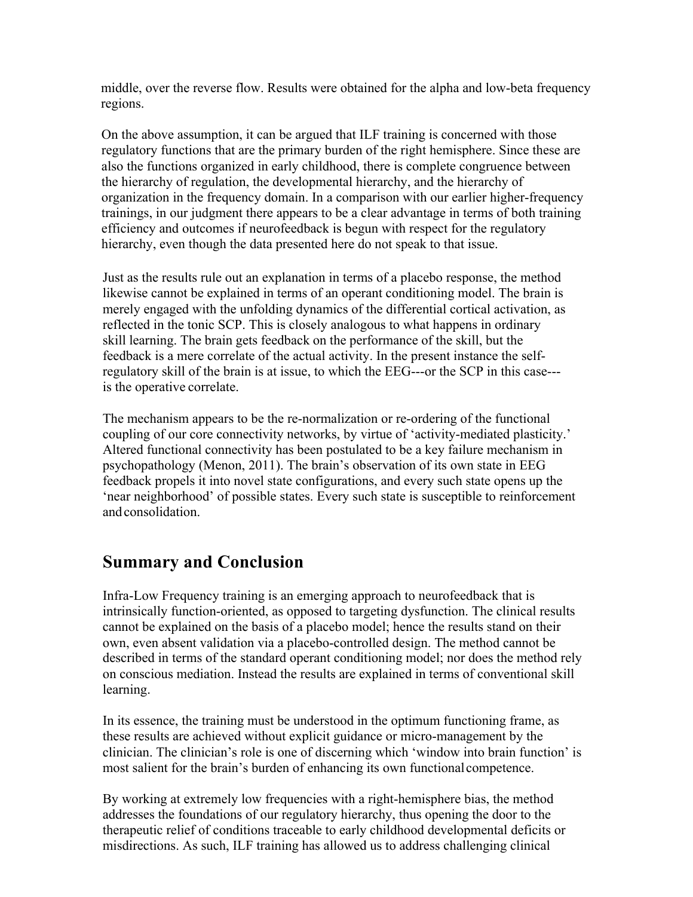middle, over the reverse flow. Results were obtained for the alpha and low-beta frequency regions.

On the above assumption, it can be argued that ILF training is concerned with those regulatory functions that are the primary burden of the right hemisphere. Since these are also the functions organized in early childhood, there is complete congruence between the hierarchy of regulation, the developmental hierarchy, and the hierarchy of organization in the frequency domain. In a comparison with our earlier higher-frequency trainings, in our judgment there appears to be a clear advantage in terms of both training efficiency and outcomes if neurofeedback is begun with respect for the regulatory hierarchy, even though the data presented here do not speak to that issue.

Just as the results rule out an explanation in terms of a placebo response, the method likewise cannot be explained in terms of an operant conditioning model. The brain is merely engaged with the unfolding dynamics of the differential cortical activation, as reflected in the tonic SCP. This is closely analogous to what happens in ordinary skill learning. The brain gets feedback on the performance of the skill, but the feedback is a mere correlate of the actual activity. In the present instance the selfregulatory skill of the brain is at issue, to which the EEG---or the SCP in this case-- is the operative correlate.

The mechanism appears to be the re-normalization or re-ordering of the functional coupling of our core connectivity networks, by virtue of 'activity-mediated plasticity.' Altered functional connectivity has been postulated to be a key failure mechanism in psychopathology (Menon, 2011). The brain's observation of its own state in EEG feedback propels it into novel state configurations, and every such state opens up the 'near neighborhood' of possible states. Every such state is susceptible to reinforcement andconsolidation.

#### **Summary and Conclusion**

Infra-Low Frequency training is an emerging approach to neurofeedback that is intrinsically function-oriented, as opposed to targeting dysfunction. The clinical results cannot be explained on the basis of a placebo model; hence the results stand on their own, even absent validation via a placebo-controlled design. The method cannot be described in terms of the standard operant conditioning model; nor does the method rely on conscious mediation. Instead the results are explained in terms of conventional skill learning.

In its essence, the training must be understood in the optimum functioning frame, as these results are achieved without explicit guidance or micro-management by the clinician. The clinician's role is one of discerning which 'window into brain function' is most salient for the brain's burden of enhancing its own functionalcompetence.

By working at extremely low frequencies with a right-hemisphere bias, the method addresses the foundations of our regulatory hierarchy, thus opening the door to the therapeutic relief of conditions traceable to early childhood developmental deficits or misdirections. As such, ILF training has allowed us to address challenging clinical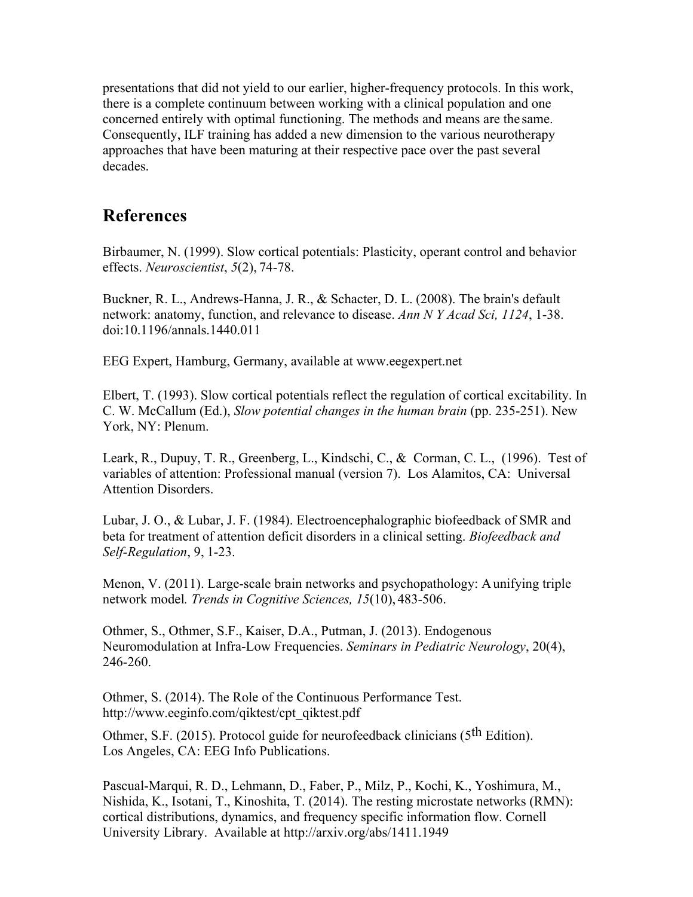presentations that did not yield to our earlier, higher-frequency protocols. In this work, there is a complete continuum between working with a clinical population and one concerned entirely with optimal functioning. The methods and means are the same. Consequently, ILF training has added a new dimension to the various neurotherapy approaches that have been maturing at their respective pace over the past several decades.

#### **References**

Birbaumer, N. (1999). Slow cortical potentials: Plasticity, operant control and behavior effects. *Neuroscientist*, *5*(2), 74-78.

 Buckner, R. L., Andrews-Hanna, J. R., & Schacter, D. L. (2008). The brain's default network: anatomy, function, and relevance to disease. *Ann N Y Acad Sci, 1124*, 1-38. doi:10.1196/annals.1440.011

EEG Expert, Hamburg, Germany, available at www.eegexpert.net

Elbert, T. (1993). Slow cortical potentials reflect the regulation of cortical excitability. In C. W. McCallum (Ed.), *Slow potential changes in the human brain* (pp. 235-251). New York, NY: Plenum.

Leark, R., Dupuy, T. R., Greenberg, L., Kindschi, C., & Corman, C. L., (1996). Test of variables of attention: Professional manual (version 7). Los Alamitos, CA: Universal Attention Disorders.

Lubar, J. O., & Lubar, J. F. (1984). Electroencephalographic biofeedback of SMR and beta for treatment of attention deficit disorders in a clinical setting. *Biofeedback and Self-Regulation*, 9, 1-23.

Menon, V. (2011). Large-scale brain networks and psychopathology: Aunifying triple network model*. Trends in Cognitive Sciences, 15*(10), 483-506.

Othmer, S., Othmer, S.F., Kaiser, D.A., Putman, J. (2013). Endogenous Neuromodulation at Infra-Low Frequencies. *Seminars in Pediatric Neurology*, 20(4), 246-260.

Othmer, S. (2014). The Role of the Continuous Performance Test. http://www.eeginfo.com/qiktest/cpt\_qiktest.pdf

Othmer, S.F. (2015). Protocol guide for neurofeedback clinicians (5th Edition). Los Angeles, CA: EEG Info Publications.

Pascual-Marqui, R. D., Lehmann, D., Faber, P., Milz, P., Kochi, K., Yoshimura, M., Nishida, K., Isotani, T., Kinoshita, T. (2014). The resting microstate networks (RMN): cortical distributions, dynamics, and frequency specific information flow. Cornell University Library. Available at http://arxiv.org/abs/1411.1949